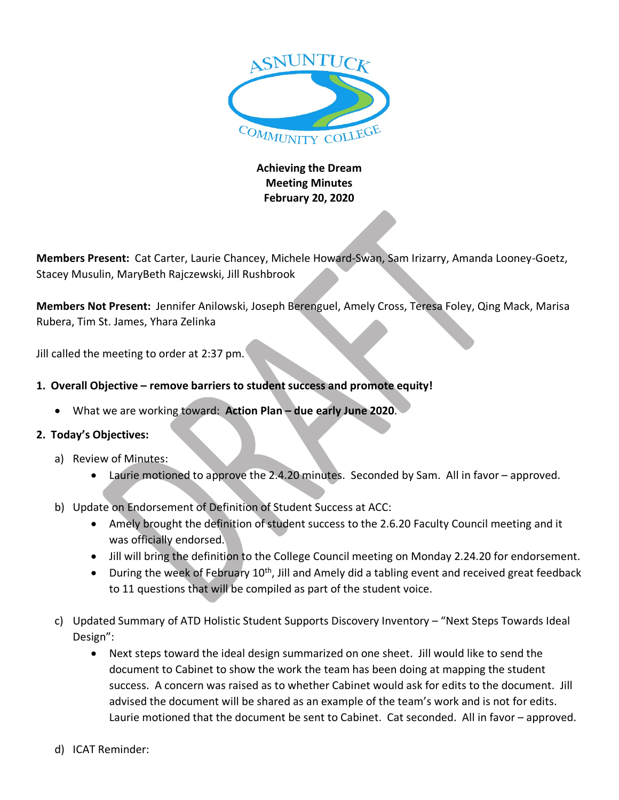

## **Achieving the Dream Meeting Minutes February 20, 2020**

**Members Present:** Cat Carter, Laurie Chancey, Michele Howard-Swan, Sam Irizarry, Amanda Looney-Goetz, Stacey Musulin, MaryBeth Rajczewski, Jill Rushbrook

**Members Not Present:** Jennifer Anilowski, Joseph Berenguel, Amely Cross, Teresa Foley, Qing Mack, Marisa Rubera, Tim St. James, Yhara Zelinka

Jill called the meeting to order at 2:37 pm.

- **1. Overall Objective – remove barriers to student success and promote equity!**
	- What we are working toward: **Action Plan – due early June 2020**.

## **2. Today's Objectives:**

- a) Review of Minutes:
	- Laurie motioned to approve the 2.4.20 minutes. Seconded by Sam. All in favor approved.
- b) Update on Endorsement of Definition of Student Success at ACC:
	- Amely brought the definition of student success to the 2.6.20 Faculty Council meeting and it was officially endorsed.
	- Jill will bring the definition to the College Council meeting on Monday 2.24.20 for endorsement.
	- During the week of February  $10<sup>th</sup>$ , Jill and Amely did a tabling event and received great feedback to 11 questions that will be compiled as part of the student voice.
- c) Updated Summary of ATD Holistic Student Supports Discovery Inventory "Next Steps Towards Ideal Design":
	- Next steps toward the ideal design summarized on one sheet. Jill would like to send the document to Cabinet to show the work the team has been doing at mapping the student success. A concern was raised as to whether Cabinet would ask for edits to the document. Jill advised the document will be shared as an example of the team's work and is not for edits. Laurie motioned that the document be sent to Cabinet. Cat seconded. All in favor – approved.
- d) ICAT Reminder: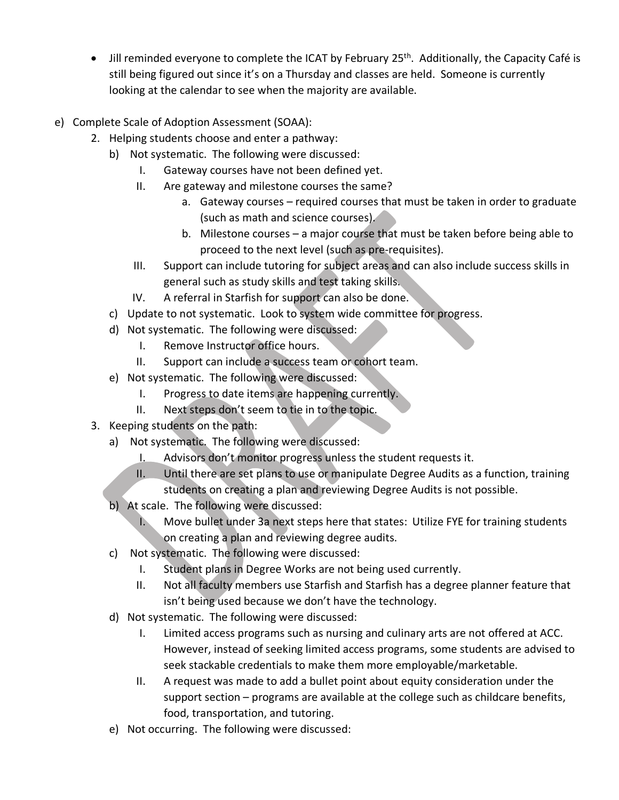- $\bullet$  Jill reminded everyone to complete the ICAT by February 25<sup>th</sup>. Additionally, the Capacity Café is still being figured out since it's on a Thursday and classes are held. Someone is currently looking at the calendar to see when the majority are available.
- e) Complete Scale of Adoption Assessment (SOAA):
	- 2. Helping students choose and enter a pathway:
		- b) Not systematic. The following were discussed:
			- I. Gateway courses have not been defined yet.
			- II. Are gateway and milestone courses the same?
				- a. Gateway courses required courses that must be taken in order to graduate (such as math and science courses).
				- b. Milestone courses a major course that must be taken before being able to proceed to the next level (such as pre-requisites).
			- III. Support can include tutoring for subject areas and can also include success skills in general such as study skills and test taking skills.
			- IV. A referral in Starfish for support can also be done.
		- c) Update to not systematic. Look to system wide committee for progress.
		- d) Not systematic. The following were discussed:
			- I. Remove Instructor office hours.
			- II. Support can include a success team or cohort team.
		- e) Not systematic. The following were discussed:
			- I. Progress to date items are happening currently.
			- II. Next steps don't seem to tie in to the topic.
	- 3. Keeping students on the path:
		- a) Not systematic. The following were discussed:
			- I. Advisors don't monitor progress unless the student requests it.
			- II. Until there are set plans to use or manipulate Degree Audits as a function, training students on creating a plan and reviewing Degree Audits is not possible.
		- b) At scale. The following were discussed:
			- I. Move bullet under 3a next steps here that states: Utilize FYE for training students on creating a plan and reviewing degree audits.
		- c) Not systematic. The following were discussed:
			- I. Student plans in Degree Works are not being used currently.
			- II. Not all faculty members use Starfish and Starfish has a degree planner feature that isn't being used because we don't have the technology.
		- d) Not systematic. The following were discussed:
			- I. Limited access programs such as nursing and culinary arts are not offered at ACC. However, instead of seeking limited access programs, some students are advised to seek stackable credentials to make them more employable/marketable.
			- II. A request was made to add a bullet point about equity consideration under the support section – programs are available at the college such as childcare benefits, food, transportation, and tutoring.
		- e) Not occurring. The following were discussed: